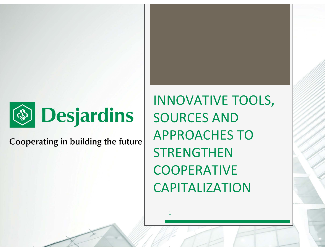

Cooperating in building the future

INNOVATIVE TOOLS, SOURCES AND APPROACHES TO **STRENGTHEN COOPERATIVE** CAPITALIZATION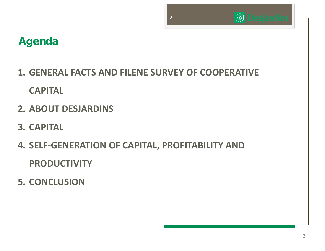

## **<sup><sup>1</sup>Desjardins**</sup>

# **Agenda**

- **1. GENERAL FACTS AND FILENE SURVEY OF COOPERATIVE CAPITAL**
- **2. ABOUT DESJARDINS**
- **3. CAPITAL**
- **4. SELF‐GENERATION OF CAPITAL, PROFITABILITY AND PRODUCTIVITY**
- **5. CONCLUSION**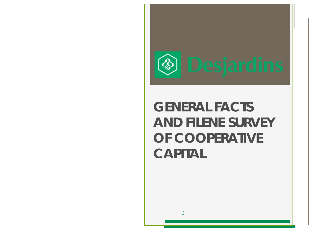

# **GENERAL FACTSAND FILENE SURVEY OF COOPERATIVE CAPITAL**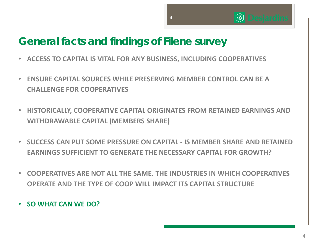44

# **General facts and findings of Filene survey**

- •**ACCESS TO CAPITAL IS VITAL FOR ANY BUSINESS, INCLUDING COOPERATIVES**
- • **ENSURE CAPITAL SOURCES WHILE PRESERVING MEMBER CONTROL CAN BE ACHALLENGE FOR COOPERATIVES**
- $\bullet$  **HISTORICALLY, COOPERATIVE CAPITAL ORIGINATES FROM RETAINED EARNINGS AND WITHDRAWABLE CAPITAL (MEMBERS SHARE)**
- $\bullet$  **SUCCESS CAN PUT SOME PRESSURE ON CAPITAL ‐ IS MEMBER SHARE AND RETAINED EARNINGS SUFFICIENT TO GENERATE THE NECESSARY CAPITAL FOR GROWTH?**
- $\bullet$  **COOPERATIVES ARE NOT ALL THE SAME. THE INDUSTRIES IN WHICH COOPERATIVES OPERATE AND THE TYPE OF COOP WILL IMPACT ITS CAPITAL STRUCTURE**

#### • **SO WHAT CAN WE DO?**

**<sup><sup>1</sup>** Desjardins</sub></sup>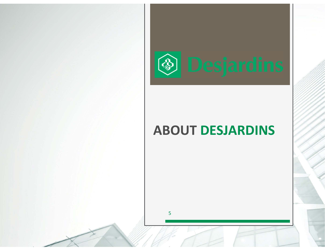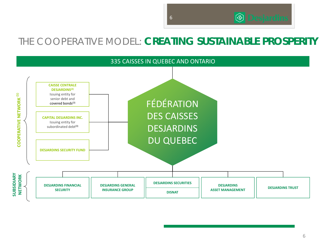## THE COOPERATIVE MODEL: **CREATING SUSTAINABLE PROSPERITY**



66

#### 6

**<b>Desjardins**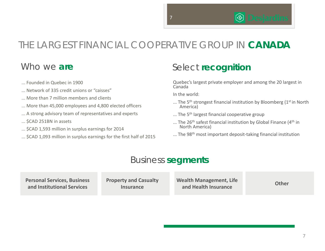## THE LARGEST FINANCIAL COOPERATIVE GROUP IN **CANADA**

#### Who we **are**

- ... Founded in Quebec in 1900
- ... Network of 335 credit unions or "caisses"
- ... More than 7 million members and clients
- ... More than 45,000 employees and 4,800 elected officers
- ... A strong advisory team of representatives and experts
- ... \$CAD 251BN in assets
- ... \$CAD 1,593 million in surplus earnings for 2014
- ... \$CAD 1,093 million in surplus earnings for the first half of 2015

#### Select **recognition**

Quebec's largest private employer and among the 20 largest in Canada

In the world:

- ... The  $5<sup>th</sup>$  strongest financial institution by Bloomberg ( $1<sup>st</sup>$  in North America)
- ... The 5<sup>th</sup> largest financial cooperative group
- ... The  $26<sup>th</sup>$  safest financial institution by Global Finance (4<sup>th</sup> in North America)
- ... The 98<sup>th</sup> most important deposit-taking financial institution

#### Business **segments**

**Personal Services, Business and Institutional Services**

**Property and Casualty Insurance** 

**Wealth Management, Life and Health Insurance**

**Other**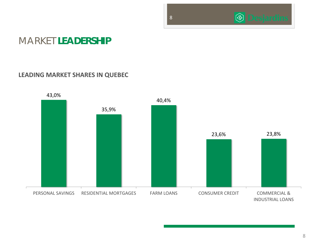#### 88

## **S** Desjardins

#### MARKET **LEADERSHIP**

#### **LEADING MARKET SHARES IN QUEBEC**

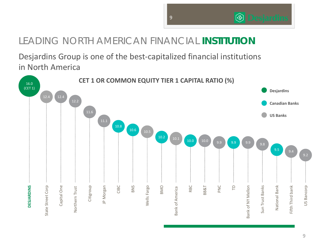## LEADING NORTH AMERICAN FINANCIAL **INSTITUTION**

Desjardins Group is one of the best‐capitalized financial institutions in North America



**<b>
S** Desjardins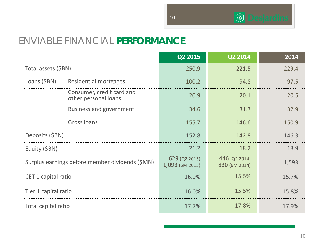**S** Desjardins

#### ENVIABLE FINANCIAL **PERFORMANCE**

|                                                   | Q2 2015                          | Q2 2014                        | 2014  |
|---------------------------------------------------|----------------------------------|--------------------------------|-------|
| Total assets (\$BN)                               | 250.9                            | 221.5                          | 229.4 |
| Loans (\$BN)<br><b>Residential mortgages</b>      | 100.2                            | 94.8                           | 97.5  |
| Consumer, credit card and<br>other personal loans | 20.9                             | 20.1                           | 20.5  |
| <b>Business and government</b>                    | 34.6                             | 31.7                           | 32.9  |
| Gross Ioans                                       | 155.7                            | 146.6                          | 150.9 |
| Deposits (\$BN)                                   | 152.8                            | 142.8                          | 146.3 |
| Equity (\$BN)                                     | 21.2                             | 18.2                           | 18.9  |
| Surplus earnings before member dividends (\$MN)   | 629 (Q2 2015)<br>1,093 (6M 2015) | 446 (Q2 2014)<br>830 (6M 2014) | 1,593 |
| CET 1 capital ratio                               | 16.0%                            | 15.5%                          | 15.7% |
| Tier 1 capital ratio                              | 16.0%                            | 15.5%                          | 15.8% |
| Total capital ratio                               | 17.7%                            | 17.8%                          | 17.9% |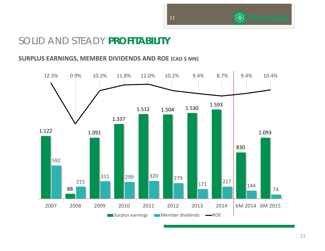## SOLID AND STEADY **PROFITABILITY**

#### **SURPLUS EARNINGS, MEMBER DIVIDENDS AND ROE (CAD \$ MN)**



**<b>
S** Desjardins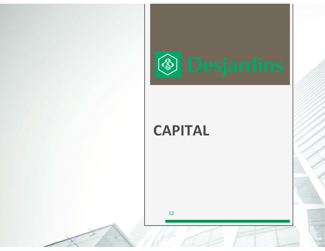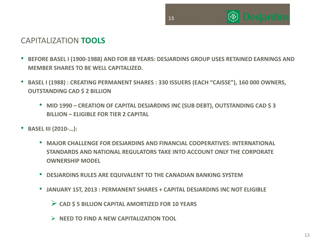

#### CAPITALIZATION **TOOLS**

• **BEFORE BASEL I (1900‐1988) AND FOR 88 YEARS: DESJARDINS GROUP USES RETAINED EARNINGS AND MEMBER SHARES TO BE WELL CAPITALIZED.** 

- • **BASEL I (1988) : CREATING PERMANENT SHARES : 330 ISSUERS (EACH "CAISSE"), 160 000 OWNERS, OUTSTANDING CAD \$ 2 BILLION** 
	- **MID 1990 – CREATION OF CAPITAL DESJARDINS INC (SUB DEBT), OUTSTANDING CAD \$ 3 BILLION – ELIGIBLE FOR TIER 2 CAPITAL**
- • **BASEL III (2010‐…):**
	- **MAJOR CHALLENGE FOR DESJARDINS AND FINANCIAL COOPERATIVES: INTERNATIONAL STANDARDS AND NATIONAL REGULATORS TAKE INTO ACCOUNT ONLY THE CORPORATE OWNERSHIP MODEL**
	- **DESJARDINS RULES ARE EQUIVALENT TO THE CANADIAN BANKING SYSTEM**
	- **JANUARY 1ST, 2013 : PERMANENT SHARES + CAPITAL DESJARDINS INC NOT ELIGIBLE**
		- **CAD \$ 5 BILLION CAPITAL AMORTIZED FOR 10 YEARS**
		- **NEED TO FIND A NEW CAPITALIZATION TOOL**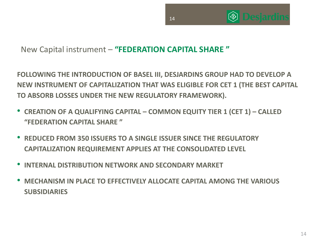



#### New Capital instrument – **"FEDERATION CAPITAL SHARE "**

**FOLLOWING THE INTRODUCTION OF BASEL III, DESJARDINS GROUP HAD TO DEVELOP A NEW INSTRUMENT OF CAPITALIZATION THAT WAS ELIGIBLE FOR CET 1 (THE BEST CAPITAL TO ABSORB LOSSES UNDER THE NEW REGULATORY FRAMEWORK).**

- **CREATION OF A QUALIFYING CAPITAL – COMMON EQUITY TIER 1 (CET 1) – CALLED "FEDERATION CAPITAL SHARE "**
- • **REDUCED FROM 350 ISSUERS TO A SINGLE ISSUER SINCE THE REGULATORY CAPITALIZATION REQUIREMENT APPLIES AT THE CONSOLIDATED LEVEL**
- •**INTERNAL DISTRIBUTION NETWORK AND SECONDARY MARKET**
- • **MECHANISM IN PLACE TO EFFECTIVELY ALLOCATE CAPITAL AMONG THE VARIOUS SUBSIDIARIES**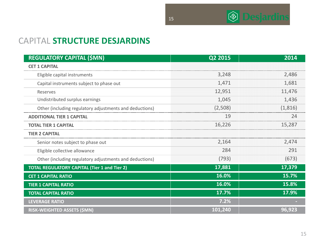

#### CAPITAL **STRUCTURE DESJARDINS**

| <b>REGULATORY CAPITAL (\$MN)</b>                        | Q2 2015 | 2014    |
|---------------------------------------------------------|---------|---------|
| <b>CET 1 CAPITAL</b>                                    |         |         |
| Eligible capital instruments                            | 3,248   | 2,486   |
| Capital instruments subject to phase out                | 1,471   | 1,681   |
| Reserves                                                | 12,951  | 11,476  |
| Undistributed surplus earnings                          | 1,045   | 1,436   |
| Other (including regulatory adjustments and deductions) | (2,508) | (1,816) |
| <b>ADDITIONAL TIER 1 CAPITAL</b>                        | 19      | 24      |
| <b>TOTAL TIER 1 CAPITAL</b>                             | 16,226  | 15,287  |
| <b>TIER 2 CAPITAL</b>                                   |         |         |
| Senior notes subject to phase out                       | 2,164   | 2,474   |
| Eligible collective allowance                           | 284     | 291     |
| Other (including regulatory adjustments and deductions) | (793)   | (673)   |
| <b>TOTAL REGULATORY CAPITAL (Tier 1 and Tier 2)</b>     | 17,881  | 17,379  |
| <b>CET 1 CAPITAL RATIO</b>                              | 16.0%   | 15.7%   |
| <b>TIER 1 CAPITAL RATIO</b>                             | 16.0%   | 15.8%   |
| <b>TOTAL CAPITAL RATIO</b>                              | 17.7%   | 17.9%   |
| <b>LEVERAGE RATIO</b>                                   | 7.2%    |         |
| RISK-WEIGHTED ASSETS (\$MN)                             | 101,240 | 96,923  |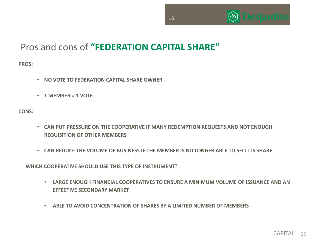

## Pros and cons of **"FEDERATION CAPITAL SHARE"**

**PROS:**

- **NO VOTE TO FEDERATION CAPITAL SHARE OWNER**
- **1 MEMBER = 1 VOTE**

**CONS:**

- **CAN PUT PRESSURE ON THE COOPERATIVE IF MANY REDEMPTION REQUESTS AND NOT ENOUGH REQUISITION OF OTHER MEMBERS**
- **CAN REDUCE THE VOLUME OF BUSINESS IF THE MEMBER IS NO LONGER ABLE TO SELL ITS SHARE**

**WHICH COOPERATIVE SHOULD USE THIS TYPE OF INSTRUMENT?**

- **LARGE ENOUGH FINANCIAL COOPERATIVES TO ENSURE A MINIMUM VOLUME OF ISSUANCE AND AN EFFECTIVE SECONDARY MARKET**
- **ABLE TO AVOID CONCENTRATION OF SHARES BY A LIMITED NUMBER OF MEMBERS**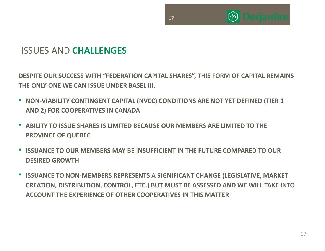

 $\circledast$ 

## ISSUES AND **CHALLENGES**

**DESPITE OUR SUCCESS WITH "FEDERATION CAPITAL SHARES", THIS FORM OF CAPITAL REMAINS THE ONLY ONE WE CAN ISSUE UNDER BASEL III.**

- **NON‐VIABILITY CONTINGENT CAPITAL (NVCC) CONDITIONS ARE NOT YET DEFINED (TIER 1 AND 2) FOR COOPERATIVES IN CANADA**
- **ABILITY TO ISSUE SHARES IS LIMITED BECAUSE OUR MEMBERS ARE LIMITED TO THE PROVINCE OF QUEBEC**
- **ISSUANCE TO OUR MEMBERS MAY BE INSUFFICIENT IN THE FUTURE COMPARED TO OUR DESIRED GROWTH**
- **ISSUANCE TO NON‐MEMBERS REPRESENTS A SIGNIFICANT CHANGE (LEGISLATIVE, MARKET CREATION, DISTRIBUTION, CONTROL, ETC.) BUT MUST BE ASSESSED AND WE WILL TAKE INTO ACCOUNT THE EXPERIENCE OF OTHER COOPERATIVES IN THIS MATTER**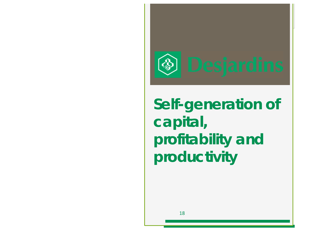

**Self-generation of capital, profitability and productivity**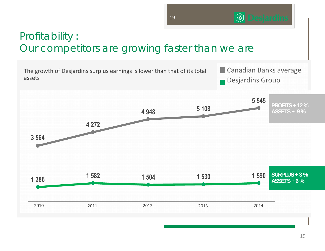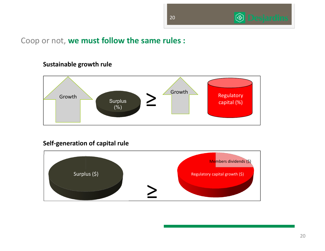



#### Coop or not, **we must follow the same rules :**



#### **Sustainable growth rule**

**Self‐generation of capital rule**

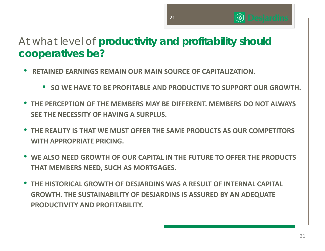# At what level of **productivity and profitability should cooperatives be?**

- • **RETAINED EARNINGS REMAIN OUR MAIN SOURCE OF CAPITALIZATION.**
	- **SO WE HAVE TO BE PROFITABLE AND PRODUCTIVE TO SUPPORT OUR GROWTH.**

21

 $\circledS$ 

- • **THE PERCEPTION OF THE MEMBERS MAY BE DIFFERENT. MEMBERS DO NOT ALWAYS SEE THE NECESSITY OF HAVING A SURPLUS.**
- • **THE REALITY IS THAT WE MUST OFFER THE SAME PRODUCTS AS OUR COMPETITORS WITH APPROPRIATE PRICING.**
- • **WE ALSO NEED GROWTH OF OUR CAPITAL IN THE FUTURE TO OFFER THE PRODUCTS THAT MEMBERS NEED, SUCH AS MORTGAGES.**
- • **THE HISTORICAL GROWTH OF DESJARDINS WAS A RESULT OF INTERNAL CAPITAL GROWTH. THE SUSTAINABILITY OF DESJARDINS IS ASSURED BY AN ADEQUATE PRODUCTIVITY AND PROFITABILITY.**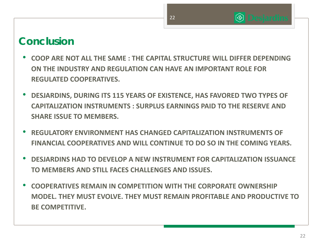## $\circledast$

# **Conclusion**

- **COOP ARE NOT ALL THE SAME : THE CAPITAL STRUCTURE WILL DIFFER DEPENDING ON THE INDUSTRY AND REGULATION CAN HAVE AN IMPORTANT ROLE FOR REGULATED COOPERATIVES.**
- • **DESJARDINS, DURING ITS 115 YEARS OF EXISTENCE, HAS FAVORED TWO TYPES OF CAPITALIZATION INSTRUMENTS : SURPLUS EARNINGS PAID TO THE RESERVE AND SHARE ISSUE TO MEMBERS.**
- **REGULATORY ENVIRONMENT HAS CHANGED CAPITALIZATION INSTRUMENTS OFFINANCIAL COOPERATIVES AND WILL CONTINUE TO DO SO IN THE COMING YEARS.**
- **DESJARDINS HAD TO DEVELOP A NEW INSTRUMENT FOR CAPITALIZATION ISSUANCE TO MEMBERS AND STILL FACES CHALLENGES AND ISSUES.**
- **COOPERATIVES REMAIN IN COMPETITION WITH THE CORPORATE OWNERSHIPMODEL. THEY MUST EVOLVE. THEY MUST REMAIN PROFITABLE AND PRODUCTIVE TO BE COMPETITIVE.**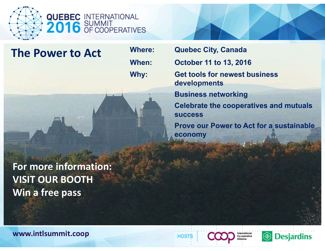

**QUEBEC INTERNATIONAL<br>2016 SUMMIT** 

## **The Power to Act**

**For more information: VISIT OUR BOOTH Win a free pass**

**Where: Quebec City, Canada When: October 11 to 13, 2016 Why: Get tools for newest business developments Business networking Celebrate the cooperatives and mutuals successProve our Power to Act for a sustainable economy**

**www.intlsummit.coop**